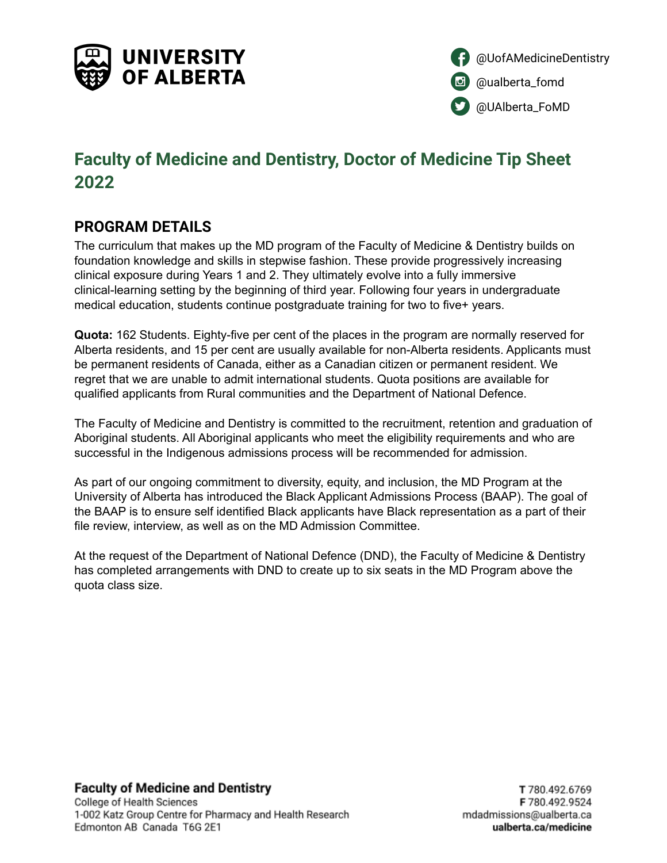



# **Faculty of Medicine and Dentistry, Doctor of Medicine Tip Sheet 2022**

### **PROGRAM DETAILS**

The curriculum that makes up the MD program of the Faculty of Medicine & Dentistry builds on foundation knowledge and skills in stepwise fashion. These provide progressively increasing clinical exposure during Years 1 and 2. They ultimately evolve into a fully immersive clinical-learning setting by the beginning of third year. Following four years in undergraduate medical education, students continue postgraduate training for two to five+ years.

**Quota:** 162 Students. Eighty-five per cent of the places in the program are normally reserved for Alberta residents, and 15 per cent are usually available for non-Alberta residents. Applicants must be permanent residents of Canada, either as a Canadian citizen or permanent resident. We regret that we are unable to admit international students. Quota positions are available for qualified applicants from Rural communities and the Department of National Defence.

The Faculty of Medicine and Dentistry is committed to the recruitment, retention and graduation of Aboriginal students. All Aboriginal applicants who meet the eligibility requirements and who are successful in the Indigenous admissions process will be recommended for admission.

As part of our ongoing commitment to diversity, equity, and inclusion, the MD Program at the University of Alberta has introduced the Black Applicant Admissions Process (BAAP). The goal of the BAAP is to ensure self identified Black applicants have Black representation as a part of their file review, interview, as well as on the MD Admission Committee.

At the request of the Department of National Defence (DND), the Faculty of Medicine & Dentistry has completed arrangements with DND to create up to six seats in the MD Program above the quota class size.

**Faculty of Medicine and Dentistry**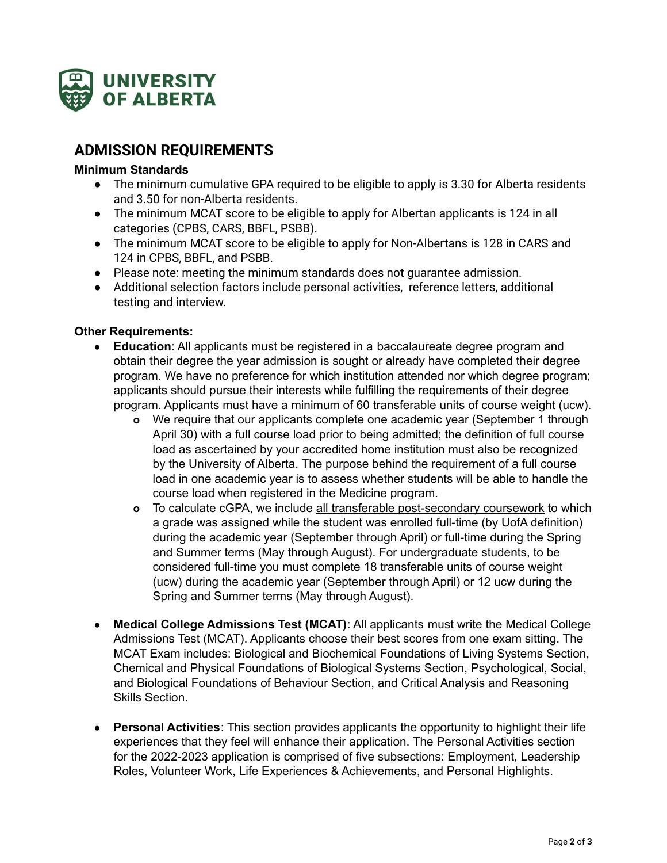

## **ADMISSION REQUIREMENTS**

#### **Minimum Standards**

- The minimum cumulative GPA required to be eligible to apply is 3.30 for Alberta residents and 3.50 for non-Alberta residents.
- The minimum MCAT score to be eligible to apply for Albertan applicants is 124 in all categories (CPBS, CARS, BBFL, PSBB).
- The minimum MCAT score to be eligible to apply for Non-Albertans is 128 in CARS and 124 in CPBS, BBFL, and PSBB.
- Please note: meeting the minimum standards does not guarantee admission.
- Additional selection factors include personal activities, reference letters, additional testing and interview.

#### **Other Requirements:**

- **● Education**: All applicants must be registered in a baccalaureate degree program and obtain their degree the year admission is sought or already have completed their degree program. We have no preference for which institution attended nor which degree program; applicants should pursue their interests while fulfilling the requirements of their degree program. Applicants must have a minimum of 60 transferable units of course weight (ucw).
	- **o** We require that our applicants complete one academic year (September 1 through April 30) with a full course load prior to being admitted; the definition of full course load as ascertained by your accredited home institution must also be recognized by the University of Alberta. The purpose behind the requirement of a full course load in one academic year is to assess whether students will be able to handle the course load when registered in the Medicine program.
	- **o** To calculate cGPA, we include all transferable post-secondary coursework to which a grade was assigned while the student was enrolled full-time (by UofA definition) during the academic year (September through April) or full-time during the Spring and Summer terms (May through August). For undergraduate students, to be considered full-time you must complete 18 transferable units of course weight (ucw) during the academic year (September through April) or 12 ucw during the Spring and Summer terms (May through August).
- **Medical College Admissions Test (MCAT)**: All applicants must write the Medical College Admissions Test (MCAT). Applicants choose their best scores from one exam sitting. The MCAT Exam includes: Biological and Biochemical Foundations of Living Systems Section, Chemical and Physical Foundations of Biological Systems Section, Psychological, Social, and Biological Foundations of Behaviour Section, and Critical Analysis and Reasoning Skills Section.
- **● Personal Activities**: This section provides applicants the opportunity to highlight their life experiences that they feel will enhance their application. The Personal Activities section for the 2022-2023 application is comprised of five subsections: Employment, Leadership Roles, Volunteer Work, Life Experiences & Achievements, and Personal Highlights.